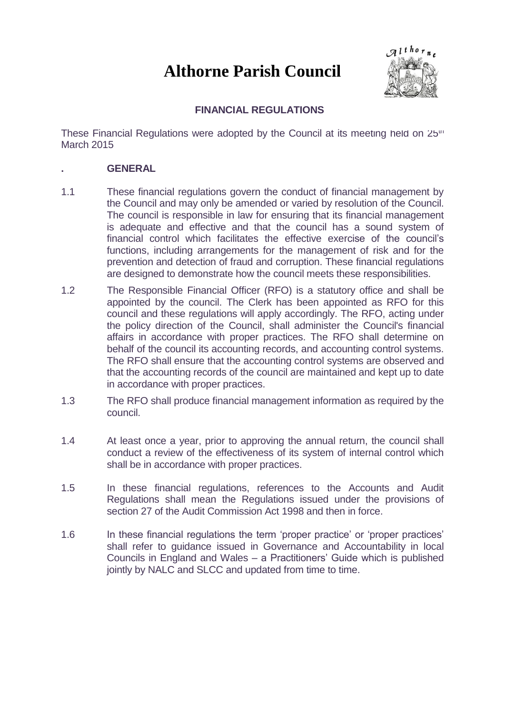# **Althorne Parish Council**



# **FINANCIAL REGULATIONS**

These Financial Regulations were adopted by the Council at its meeting held on 25<sup>th</sup> March 2015

## **. GENERAL**

- 1.1 These financial regulations govern the conduct of financial management by the Council and may only be amended or varied by resolution of the Council. The council is responsible in law for ensuring that its financial management is adequate and effective and that the council has a sound system of financial control which facilitates the effective exercise of the council's functions, including arrangements for the management of risk and for the prevention and detection of fraud and corruption. These financial regulations are designed to demonstrate how the council meets these responsibilities.
- 1.2 The Responsible Financial Officer (RFO) is a statutory office and shall be appointed by the council. The Clerk has been appointed as RFO for this council and these regulations will apply accordingly. The RFO, acting under the policy direction of the Council, shall administer the Council's financial affairs in accordance with proper practices. The RFO shall determine on behalf of the council its accounting records, and accounting control systems. The RFO shall ensure that the accounting control systems are observed and that the accounting records of the council are maintained and kept up to date in accordance with proper practices.
- 1.3 The RFO shall produce financial management information as required by the council.
- 1.4 At least once a year, prior to approving the annual return, the council shall conduct a review of the effectiveness of its system of internal control which shall be in accordance with proper practices.
- 1.5 In these financial regulations, references to the Accounts and Audit Regulations shall mean the Regulations issued under the provisions of section 27 of the Audit Commission Act 1998 and then in force.
- 1.6 In these financial regulations the term 'proper practice' or 'proper practices' shall refer to guidance issued in Governance and Accountability in local Councils in England and Wales – a Practitioners' Guide which is published jointly by NALC and SLCC and updated from time to time.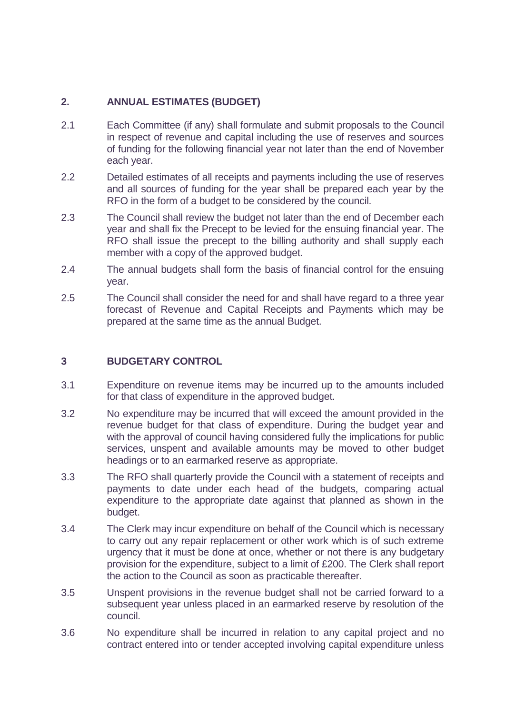## **2. ANNUAL ESTIMATES (BUDGET)**

- 2.1 Each Committee (if any) shall formulate and submit proposals to the Council in respect of revenue and capital including the use of reserves and sources of funding for the following financial year not later than the end of November each year.
- 2.2 Detailed estimates of all receipts and payments including the use of reserves and all sources of funding for the year shall be prepared each year by the RFO in the form of a budget to be considered by the council.
- 2.3 The Council shall review the budget not later than the end of December each year and shall fix the Precept to be levied for the ensuing financial year. The RFO shall issue the precept to the billing authority and shall supply each member with a copy of the approved budget.
- 2.4 The annual budgets shall form the basis of financial control for the ensuing year.
- 2.5 The Council shall consider the need for and shall have regard to a three year forecast of Revenue and Capital Receipts and Payments which may be prepared at the same time as the annual Budget.

## **3 BUDGETARY CONTROL**

- 3.1 Expenditure on revenue items may be incurred up to the amounts included for that class of expenditure in the approved budget.
- 3.2 No expenditure may be incurred that will exceed the amount provided in the revenue budget for that class of expenditure. During the budget year and with the approval of council having considered fully the implications for public services, unspent and available amounts may be moved to other budget headings or to an earmarked reserve as appropriate.
- 3.3 The RFO shall quarterly provide the Council with a statement of receipts and payments to date under each head of the budgets, comparing actual expenditure to the appropriate date against that planned as shown in the budget.
- 3.4 The Clerk may incur expenditure on behalf of the Council which is necessary to carry out any repair replacement or other work which is of such extreme urgency that it must be done at once, whether or not there is any budgetary provision for the expenditure, subject to a limit of £200. The Clerk shall report the action to the Council as soon as practicable thereafter.
- 3.5 Unspent provisions in the revenue budget shall not be carried forward to a subsequent year unless placed in an earmarked reserve by resolution of the council.
- 3.6 No expenditure shall be incurred in relation to any capital project and no contract entered into or tender accepted involving capital expenditure unless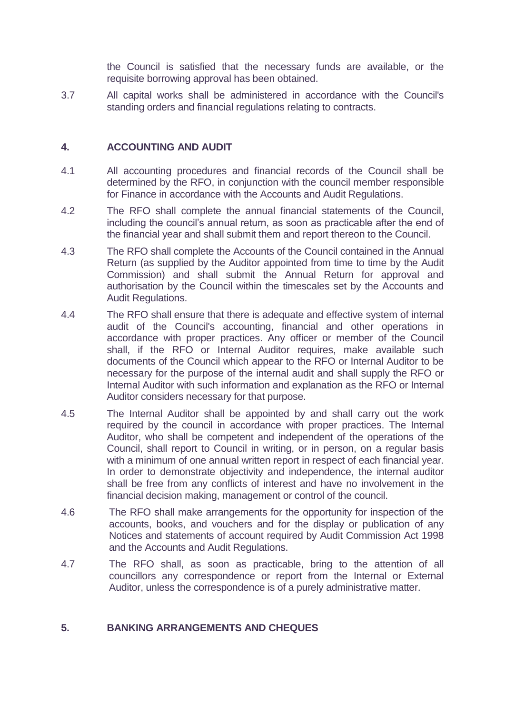the Council is satisfied that the necessary funds are available, or the requisite borrowing approval has been obtained.

3.7 All capital works shall be administered in accordance with the Council's standing orders and financial regulations relating to contracts.

## **4. ACCOUNTING AND AUDIT**

- 4.1 All accounting procedures and financial records of the Council shall be determined by the RFO, in conjunction with the council member responsible for Finance in accordance with the Accounts and Audit Regulations.
- 4.2 The RFO shall complete the annual financial statements of the Council, including the council's annual return, as soon as practicable after the end of the financial year and shall submit them and report thereon to the Council.
- 4.3 The RFO shall complete the Accounts of the Council contained in the Annual Return (as supplied by the Auditor appointed from time to time by the Audit Commission) and shall submit the Annual Return for approval and authorisation by the Council within the timescales set by the Accounts and Audit Regulations.
- 4.4 The RFO shall ensure that there is adequate and effective system of internal audit of the Council's accounting, financial and other operations in accordance with proper practices. Any officer or member of the Council shall, if the RFO or Internal Auditor requires, make available such documents of the Council which appear to the RFO or Internal Auditor to be necessary for the purpose of the internal audit and shall supply the RFO or Internal Auditor with such information and explanation as the RFO or Internal Auditor considers necessary for that purpose.
- 4.5 The Internal Auditor shall be appointed by and shall carry out the work required by the council in accordance with proper practices. The Internal Auditor, who shall be competent and independent of the operations of the Council, shall report to Council in writing, or in person, on a regular basis with a minimum of one annual written report in respect of each financial year. In order to demonstrate objectivity and independence, the internal auditor shall be free from any conflicts of interest and have no involvement in the financial decision making, management or control of the council.
- 4.6 The RFO shall make arrangements for the opportunity for inspection of the accounts, books, and vouchers and for the display or publication of any Notices and statements of account required by Audit Commission Act 1998 and the Accounts and Audit Regulations.
- 4.7 The RFO shall, as soon as practicable, bring to the attention of all councillors any correspondence or report from the Internal or External Auditor, unless the correspondence is of a purely administrative matter.

## **5. BANKING ARRANGEMENTS AND CHEQUES**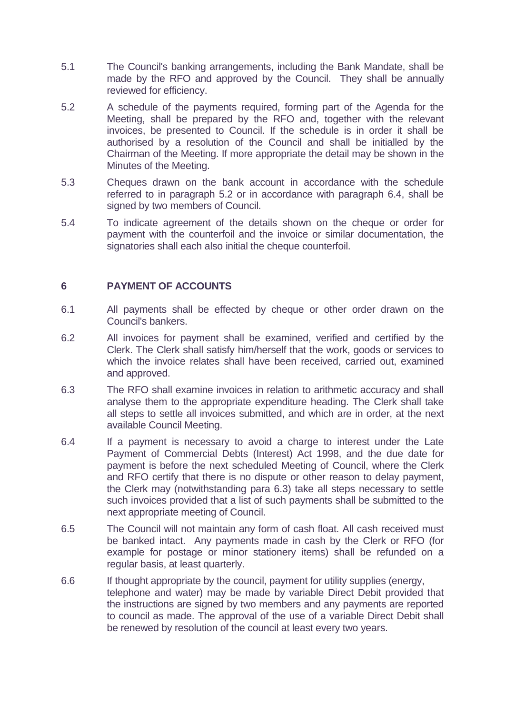- 5.1 The Council's banking arrangements, including the Bank Mandate, shall be made by the RFO and approved by the Council. They shall be annually reviewed for efficiency.
- 5.2 A schedule of the payments required, forming part of the Agenda for the Meeting, shall be prepared by the RFO and, together with the relevant invoices, be presented to Council. If the schedule is in order it shall be authorised by a resolution of the Council and shall be initialled by the Chairman of the Meeting. If more appropriate the detail may be shown in the Minutes of the Meeting.
- 5.3 Cheques drawn on the bank account in accordance with the schedule referred to in paragraph 5.2 or in accordance with paragraph 6.4, shall be signed by two members of Council.
- 5.4 To indicate agreement of the details shown on the cheque or order for payment with the counterfoil and the invoice or similar documentation, the signatories shall each also initial the cheque counterfoil.

## **6 PAYMENT OF ACCOUNTS**

- 6.1 All payments shall be effected by cheque or other order drawn on the Council's bankers.
- 6.2 All invoices for payment shall be examined, verified and certified by the Clerk. The Clerk shall satisfy him/herself that the work, goods or services to which the invoice relates shall have been received, carried out, examined and approved.
- 6.3 The RFO shall examine invoices in relation to arithmetic accuracy and shall analyse them to the appropriate expenditure heading. The Clerk shall take all steps to settle all invoices submitted, and which are in order, at the next available Council Meeting.
- 6.4 If a payment is necessary to avoid a charge to interest under the Late Payment of Commercial Debts (Interest) Act 1998, and the due date for payment is before the next scheduled Meeting of Council, where the Clerk and RFO certify that there is no dispute or other reason to delay payment, the Clerk may (notwithstanding para 6.3) take all steps necessary to settle such invoices provided that a list of such payments shall be submitted to the next appropriate meeting of Council.
- 6.5 The Council will not maintain any form of cash float. All cash received must be banked intact. Any payments made in cash by the Clerk or RFO (for example for postage or minor stationery items) shall be refunded on a regular basis, at least quarterly.
- 6.6 If thought appropriate by the council, payment for utility supplies (energy, telephone and water) may be made by variable Direct Debit provided that the instructions are signed by two members and any payments are reported to council as made. The approval of the use of a variable Direct Debit shall be renewed by resolution of the council at least every two years.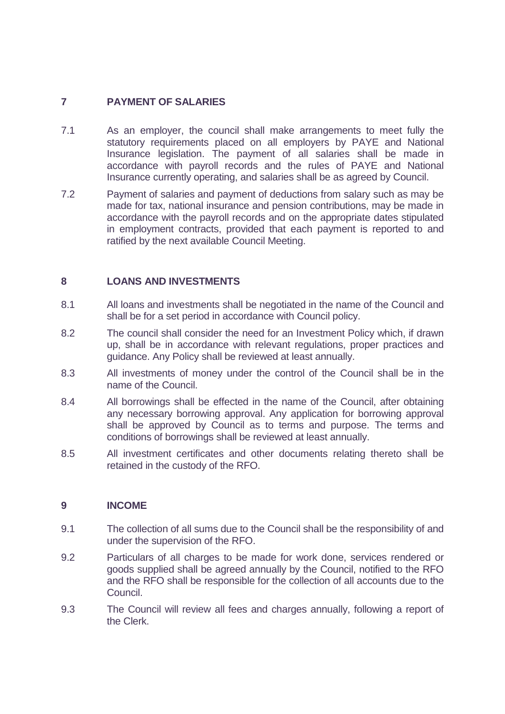## **7 PAYMENT OF SALARIES**

- 7.1 As an employer, the council shall make arrangements to meet fully the statutory requirements placed on all employers by PAYE and National Insurance legislation. The payment of all salaries shall be made in accordance with payroll records and the rules of PAYE and National Insurance currently operating, and salaries shall be as agreed by Council.
- 7.2 Payment of salaries and payment of deductions from salary such as may be made for tax, national insurance and pension contributions, may be made in accordance with the payroll records and on the appropriate dates stipulated in employment contracts, provided that each payment is reported to and ratified by the next available Council Meeting.

## **8 LOANS AND INVESTMENTS**

- 8.1 All loans and investments shall be negotiated in the name of the Council and shall be for a set period in accordance with Council policy.
- 8.2 The council shall consider the need for an Investment Policy which, if drawn up, shall be in accordance with relevant regulations, proper practices and guidance. Any Policy shall be reviewed at least annually.
- 8.3 All investments of money under the control of the Council shall be in the name of the Council.
- 8.4 All borrowings shall be effected in the name of the Council, after obtaining any necessary borrowing approval. Any application for borrowing approval shall be approved by Council as to terms and purpose. The terms and conditions of borrowings shall be reviewed at least annually.
- 8.5 All investment certificates and other documents relating thereto shall be retained in the custody of the RFO.

#### **9 INCOME**

- 9.1 The collection of all sums due to the Council shall be the responsibility of and under the supervision of the RFO.
- 9.2 Particulars of all charges to be made for work done, services rendered or goods supplied shall be agreed annually by the Council, notified to the RFO and the RFO shall be responsible for the collection of all accounts due to the Council.
- 9.3 The Council will review all fees and charges annually, following a report of the Clerk.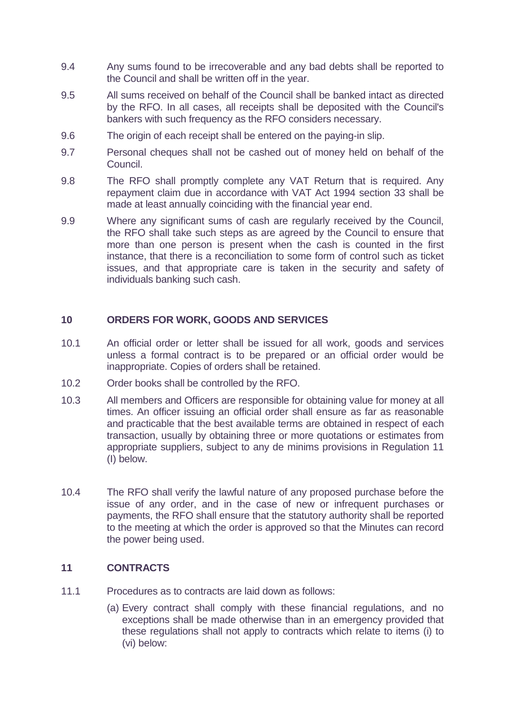- 9.4 Any sums found to be irrecoverable and any bad debts shall be reported to the Council and shall be written off in the year.
- 9.5 All sums received on behalf of the Council shall be banked intact as directed by the RFO. In all cases, all receipts shall be deposited with the Council's bankers with such frequency as the RFO considers necessary.
- 9.6 The origin of each receipt shall be entered on the paying-in slip.
- 9.7 Personal cheques shall not be cashed out of money held on behalf of the Council.
- 9.8 The RFO shall promptly complete any VAT Return that is required. Any repayment claim due in accordance with VAT Act 1994 section 33 shall be made at least annually coinciding with the financial year end.
- 9.9 Where any significant sums of cash are regularly received by the Council, the RFO shall take such steps as are agreed by the Council to ensure that more than one person is present when the cash is counted in the first instance, that there is a reconciliation to some form of control such as ticket issues, and that appropriate care is taken in the security and safety of individuals banking such cash.

#### **10 ORDERS FOR WORK, GOODS AND SERVICES**

- 10.1 An official order or letter shall be issued for all work, goods and services unless a formal contract is to be prepared or an official order would be inappropriate. Copies of orders shall be retained.
- 10.2 Order books shall be controlled by the RFO.
- 10.3 All members and Officers are responsible for obtaining value for money at all times. An officer issuing an official order shall ensure as far as reasonable and practicable that the best available terms are obtained in respect of each transaction, usually by obtaining three or more quotations or estimates from appropriate suppliers, subject to any de minims provisions in Regulation 11 (I) below.
- 10.4 The RFO shall verify the lawful nature of any proposed purchase before the issue of any order, and in the case of new or infrequent purchases or payments, the RFO shall ensure that the statutory authority shall be reported to the meeting at which the order is approved so that the Minutes can record the power being used.

#### **11 CONTRACTS**

- 11.1 Procedures as to contracts are laid down as follows:
	- (a) Every contract shall comply with these financial regulations, and no exceptions shall be made otherwise than in an emergency provided that these regulations shall not apply to contracts which relate to items (i) to (vi) below: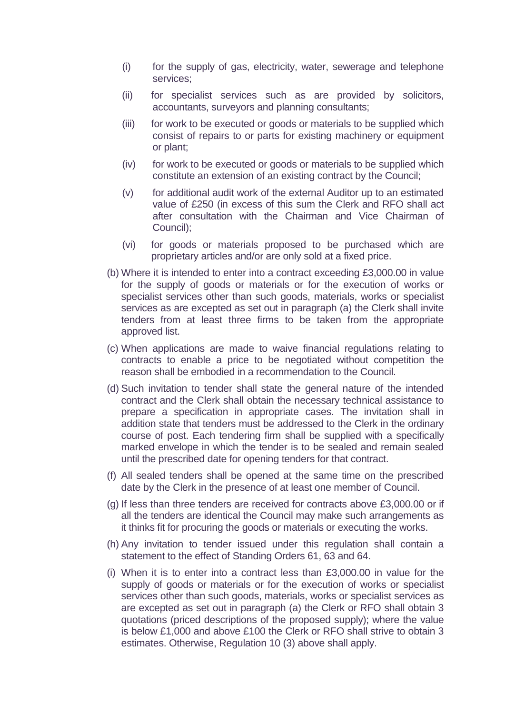- (i) for the supply of gas, electricity, water, sewerage and telephone services;
- (ii) for specialist services such as are provided by solicitors, accountants, surveyors and planning consultants;
- (iii) for work to be executed or goods or materials to be supplied which consist of repairs to or parts for existing machinery or equipment or plant;
- (iv) for work to be executed or goods or materials to be supplied which constitute an extension of an existing contract by the Council;
- (v) for additional audit work of the external Auditor up to an estimated value of £250 (in excess of this sum the Clerk and RFO shall act after consultation with the Chairman and Vice Chairman of Council);
- (vi) for goods or materials proposed to be purchased which are proprietary articles and/or are only sold at a fixed price.
- (b) Where it is intended to enter into a contract exceeding £3,000.00 in value for the supply of goods or materials or for the execution of works or specialist services other than such goods, materials, works or specialist services as are excepted as set out in paragraph (a) the Clerk shall invite tenders from at least three firms to be taken from the appropriate approved list.
- (c) When applications are made to waive financial regulations relating to contracts to enable a price to be negotiated without competition the reason shall be embodied in a recommendation to the Council.
- (d) Such invitation to tender shall state the general nature of the intended contract and the Clerk shall obtain the necessary technical assistance to prepare a specification in appropriate cases. The invitation shall in addition state that tenders must be addressed to the Clerk in the ordinary course of post. Each tendering firm shall be supplied with a specifically marked envelope in which the tender is to be sealed and remain sealed until the prescribed date for opening tenders for that contract.
- (f) All sealed tenders shall be opened at the same time on the prescribed date by the Clerk in the presence of at least one member of Council.
- (g) If less than three tenders are received for contracts above £3,000.00 or if all the tenders are identical the Council may make such arrangements as it thinks fit for procuring the goods or materials or executing the works.
- (h) Any invitation to tender issued under this regulation shall contain a statement to the effect of Standing Orders 61, 63 and 64.
- (i) When it is to enter into a contract less than £3,000.00 in value for the supply of goods or materials or for the execution of works or specialist services other than such goods, materials, works or specialist services as are excepted as set out in paragraph (a) the Clerk or RFO shall obtain 3 quotations (priced descriptions of the proposed supply); where the value is below £1,000 and above £100 the Clerk or RFO shall strive to obtain 3 estimates. Otherwise, Regulation 10 (3) above shall apply.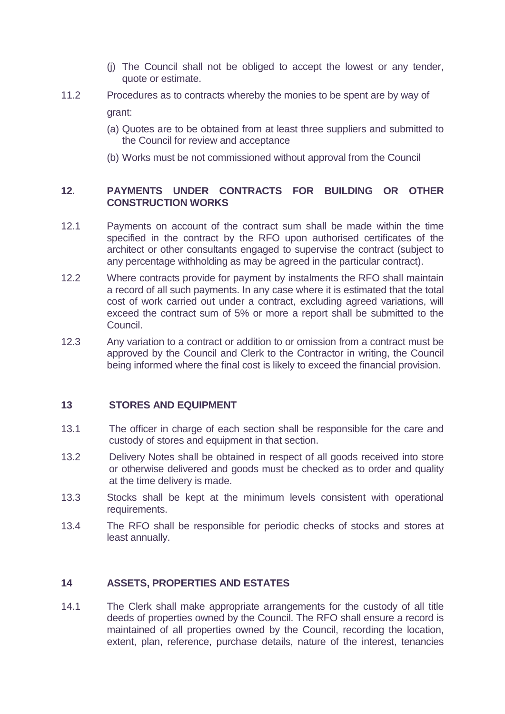- (j) The Council shall not be obliged to accept the lowest or any tender, quote or estimate.
- 11.2 Procedures as to contracts whereby the monies to be spent are by way of grant:
	- (a) Quotes are to be obtained from at least three suppliers and submitted to the Council for review and acceptance
	- (b) Works must be not commissioned without approval from the Council

## **12. PAYMENTS UNDER CONTRACTS FOR BUILDING OR OTHER CONSTRUCTION WORKS**

- 12.1 Payments on account of the contract sum shall be made within the time specified in the contract by the RFO upon authorised certificates of the architect or other consultants engaged to supervise the contract (subject to any percentage withholding as may be agreed in the particular contract).
- 12.2 Where contracts provide for payment by instalments the RFO shall maintain a record of all such payments. In any case where it is estimated that the total cost of work carried out under a contract, excluding agreed variations, will exceed the contract sum of 5% or more a report shall be submitted to the Council.
- 12.3 Any variation to a contract or addition to or omission from a contract must be approved by the Council and Clerk to the Contractor in writing, the Council being informed where the final cost is likely to exceed the financial provision.

#### **13 STORES AND EQUIPMENT**

- 13.1 The officer in charge of each section shall be responsible for the care and custody of stores and equipment in that section.
- 13.2 Delivery Notes shall be obtained in respect of all goods received into store or otherwise delivered and goods must be checked as to order and quality at the time delivery is made.
- 13.3 Stocks shall be kept at the minimum levels consistent with operational requirements.
- 13.4 The RFO shall be responsible for periodic checks of stocks and stores at least annually.

#### **14 ASSETS, PROPERTIES AND ESTATES**

14.1 The Clerk shall make appropriate arrangements for the custody of all title deeds of properties owned by the Council. The RFO shall ensure a record is maintained of all properties owned by the Council, recording the location, extent, plan, reference, purchase details, nature of the interest, tenancies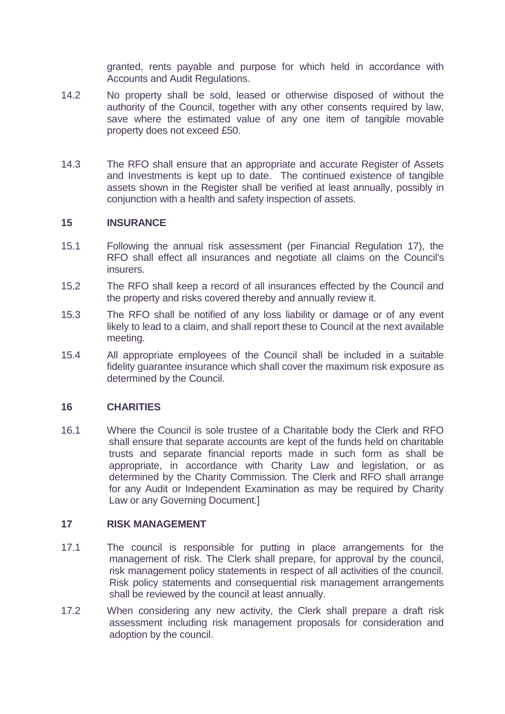granted, rents payable and purpose for which held in accordance with Accounts and Audit Regulations.

- 14.2 No property shall be sold, leased or otherwise disposed of without the authority of the Council, together with any other consents required by law, save where the estimated value of any one item of tangible movable property does not exceed £50.
- 14.3 The RFO shall ensure that an appropriate and accurate Register of Assets and Investments is kept up to date. The continued existence of tangible assets shown in the Register shall be verified at least annually, possibly in conjunction with a health and safety inspection of assets.

#### **15 INSURANCE**

- 15.1 Following the annual risk assessment (per Financial Regulation 17), the RFO shall effect all insurances and negotiate all claims on the Council's insurers.
- 15.2 The RFO shall keep a record of all insurances effected by the Council and the property and risks covered thereby and annually review it.
- 15.3 The RFO shall be notified of any loss liability or damage or of any event likely to lead to a claim, and shall report these to Council at the next available meeting.
- 15.4 All appropriate employees of the Council shall be included in a suitable fidelity guarantee insurance which shall cover the maximum risk exposure as determined by the Council.

#### **16 CHARITIES**

16.1 Where the Council is sole trustee of a Charitable body the Clerk and RFO shall ensure that separate accounts are kept of the funds held on charitable trusts and separate financial reports made in such form as shall be appropriate, in accordance with Charity Law and legislation, or as determined by the Charity Commission. The Clerk and RFO shall arrange for any Audit or Independent Examination as may be required by Charity Law or any Governing Document.]

#### **17 RISK MANAGEMENT**

- 17.1 The council is responsible for putting in place arrangements for the management of risk. The Clerk shall prepare, for approval by the council, risk management policy statements in respect of all activities of the council. Risk policy statements and consequential risk management arrangements shall be reviewed by the council at least annually.
- 17.2 When considering any new activity, the Clerk shall prepare a draft risk assessment including risk management proposals for consideration and adoption by the council.